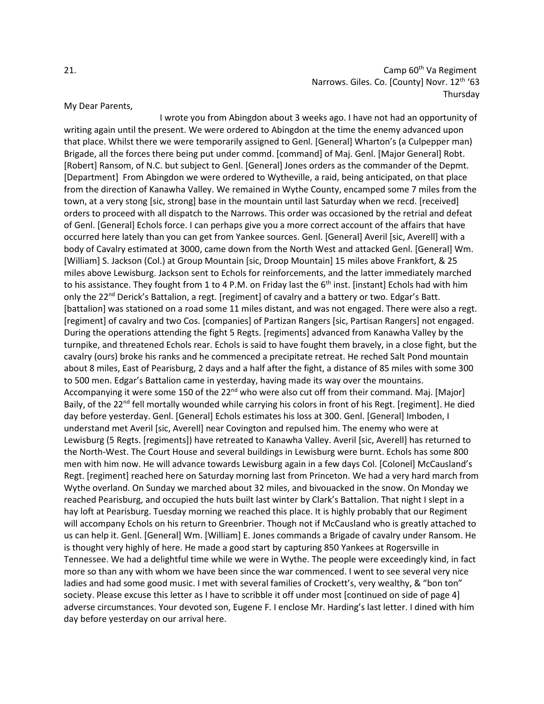21. Camp 60<sup>th</sup> Va Regiment Narrows. Giles. Co. [County] Novr. 12<sup>th</sup> '63 Thursday

## My Dear Parents,

I wrote you from Abingdon about 3 weeks ago. I have not had an opportunity of writing again until the present. We were ordered to Abingdon at the time the enemy advanced upon that place. Whilst there we were temporarily assigned to Genl. [General] Wharton's (a Culpepper man) Brigade, all the forces there being put under commd. [command] of Maj. Genl. [Major General] Robt. [Robert] Ransom, of N.C. but subject to Genl. [General] Jones orders as the commander of the Depmt. [Department] From Abingdon we were ordered to Wytheville, a raid, being anticipated, on that place from the direction of Kanawha Valley. We remained in Wythe County, encamped some 7 miles from the town, at a very stong [sic, strong] base in the mountain until last Saturday when we recd. [received] orders to proceed with all dispatch to the Narrows. This order was occasioned by the retrial and defeat of Genl. [General] Echols force. I can perhaps give you a more correct account of the affairs that have occurred here lately than you can get from Yankee sources. Genl. [General] Averil [sic, Averell] with a body of Cavalry estimated at 3000, came down from the North West and attacked Genl. [General] Wm. [William] S. Jackson (Col.) at Group Mountain [sic, Droop Mountain] 15 miles above Frankfort, & 25 miles above Lewisburg. Jackson sent to Echols for reinforcements, and the latter immediately marched to his assistance. They fought from 1 to 4 P.M. on Friday last the  $6<sup>th</sup>$  inst. [instant] Echols had with him only the 22<sup>nd</sup> Derick's Battalion, a regt. [regiment] of cavalry and a battery or two. Edgar's Batt. [battalion] was stationed on a road some 11 miles distant, and was not engaged. There were also a regt. [regiment] of cavalry and two Cos. [companies] of Partizan Rangers [sic, Partisan Rangers] not engaged. During the operations attending the fight 5 Regts. [regiments] advanced from Kanawha Valley by the turnpike, and threatened Echols rear. Echols is said to have fought them bravely, in a close fight, but the cavalry (ours) broke his ranks and he commenced a precipitate retreat. He reched Salt Pond mountain about 8 miles, East of Pearisburg, 2 days and a half after the fight, a distance of 85 miles with some 300 to 500 men. Edgar's Battalion came in yesterday, having made its way over the mountains. Accompanying it were some 150 of the 22<sup>nd</sup> who were also cut off from their command. Maj. [Major] Baily, of the 22<sup>nd</sup> fell mortally wounded while carrying his colors in front of his Regt. [regiment]. He died day before yesterday. Genl. [General] Echols estimates his loss at 300. Genl. [General] Imboden, I understand met Averil [sic, Averell] near Covington and repulsed him. The enemy who were at Lewisburg (5 Regts. [regiments]) have retreated to Kanawha Valley. Averil [sic, Averell] has returned to the North-West. The Court House and several buildings in Lewisburg were burnt. Echols has some 800 men with him now. He will advance towards Lewisburg again in a few days Col. [Colonel] McCausland's Regt. [regiment] reached here on Saturday morning last from Princeton. We had a very hard march from Wythe overland. On Sunday we marched about 32 miles, and bivouacked in the snow. On Monday we reached Pearisburg, and occupied the huts built last winter by Clark's Battalion. That night I slept in a hay loft at Pearisburg. Tuesday morning we reached this place. It is highly probably that our Regiment will accompany Echols on his return to Greenbrier. Though not if McCausland who is greatly attached to us can help it. Genl. [General] Wm. [William] E. Jones commands a Brigade of cavalry under Ransom. He is thought very highly of here. He made a good start by capturing 850 Yankees at Rogersville in Tennessee. We had a delightful time while we were in Wythe. The people were exceedingly kind, in fact more so than any with whom we have been since the war commenced. I went to see several very nice ladies and had some good music. I met with several families of Crockett's, very wealthy, & "bon ton" society. Please excuse this letter as I have to scribble it off under most [continued on side of page 4] adverse circumstances. Your devoted son, Eugene F. I enclose Mr. Harding's last letter. I dined with him day before yesterday on our arrival here.